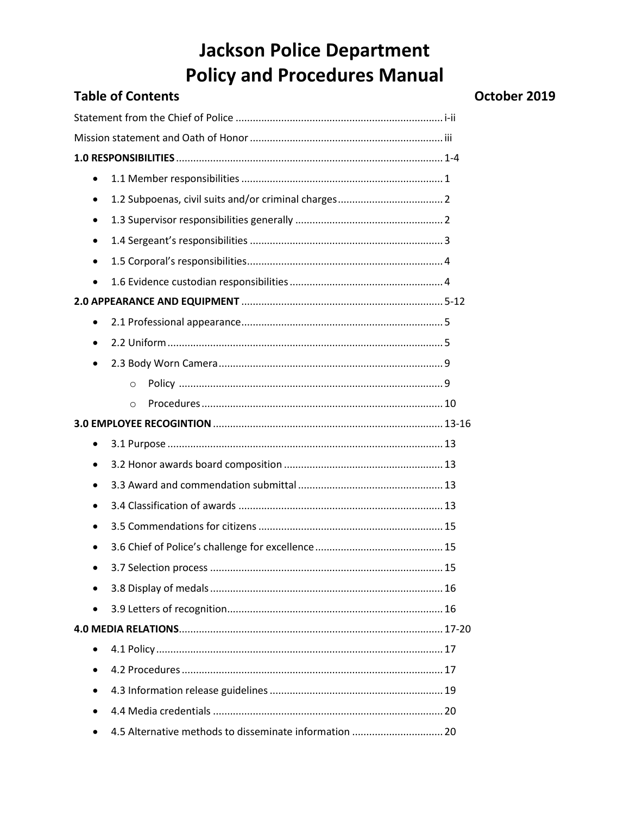|           | <b>Table of Contents</b> |
|-----------|--------------------------|
|           |                          |
|           |                          |
|           |                          |
| $\bullet$ |                          |
| $\bullet$ |                          |
| $\bullet$ |                          |
| $\bullet$ |                          |
| $\bullet$ |                          |
| $\bullet$ |                          |
|           |                          |
| $\bullet$ |                          |
| $\bullet$ |                          |
| $\bullet$ |                          |
|           | $\Omega$                 |
|           | $\circ$                  |
|           |                          |
| $\bullet$ |                          |
| $\bullet$ |                          |
|           |                          |
| $\bullet$ |                          |
| ٠         |                          |
|           |                          |
|           |                          |
|           |                          |
| $\bullet$ |                          |
|           |                          |
|           |                          |
| $\bullet$ |                          |
|           |                          |
|           |                          |
| $\bullet$ |                          |

#### October 2019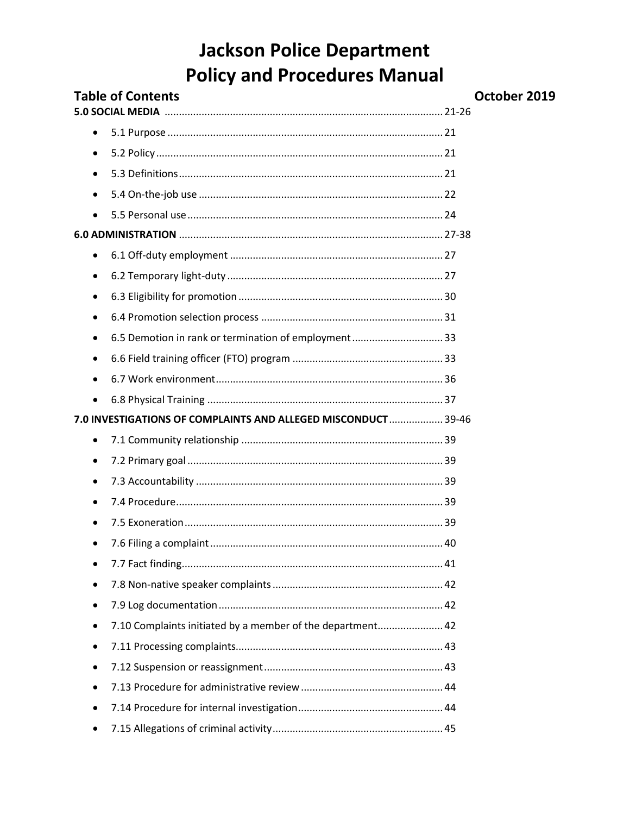| <b>Table of Contents</b> |                                                               | October 2019 |
|--------------------------|---------------------------------------------------------------|--------------|
|                          |                                                               |              |
| $\bullet$                |                                                               |              |
| $\bullet$                |                                                               |              |
| $\bullet$                |                                                               |              |
| $\bullet$                |                                                               |              |
| $\bullet$                |                                                               |              |
|                          |                                                               |              |
| ٠                        |                                                               |              |
| $\bullet$                |                                                               |              |
| $\bullet$                |                                                               |              |
| $\bullet$                |                                                               |              |
| $\bullet$                | 6.5 Demotion in rank or termination of employment 33          |              |
| $\bullet$                |                                                               |              |
| $\bullet$                |                                                               |              |
| $\bullet$                |                                                               |              |
|                          | 7.0 INVESTIGATIONS OF COMPLAINTS AND ALLEGED MISCONDUCT 39-46 |              |
| $\bullet$                |                                                               |              |
| $\bullet$                |                                                               |              |
| $\bullet$                |                                                               |              |
| $\bullet$                |                                                               |              |
|                          |                                                               |              |
|                          |                                                               |              |
|                          |                                                               |              |
|                          |                                                               |              |
| ٠                        |                                                               |              |
|                          | 7.10 Complaints initiated by a member of the department 42    |              |
|                          |                                                               |              |
| ٠                        |                                                               |              |
|                          |                                                               |              |
|                          |                                                               |              |
|                          |                                                               |              |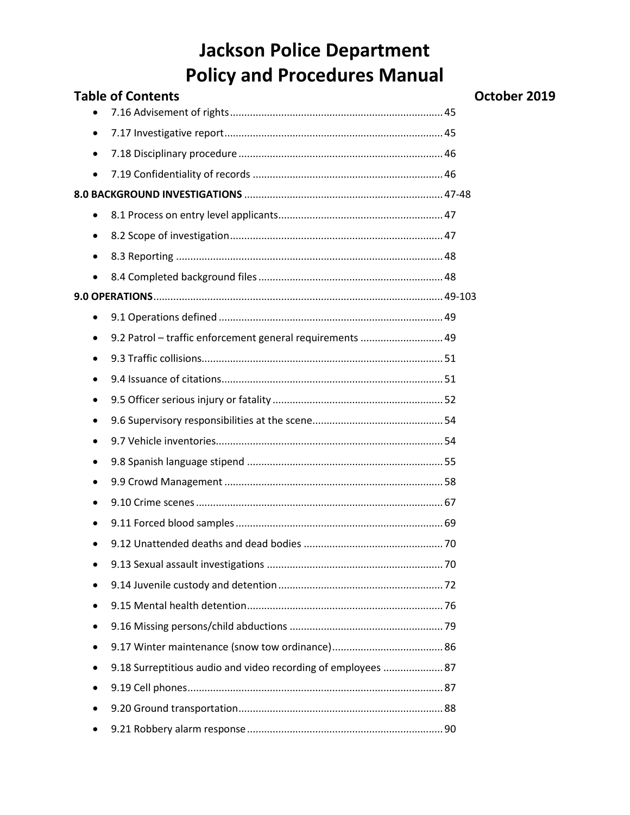| <b>Table of Contents</b>                                                   | October 2019 |
|----------------------------------------------------------------------------|--------------|
|                                                                            |              |
| $\bullet$                                                                  |              |
| ٠                                                                          |              |
| $\bullet$                                                                  |              |
|                                                                            |              |
| ٠                                                                          |              |
| ٠                                                                          |              |
| ٠                                                                          |              |
| $\bullet$                                                                  |              |
|                                                                            |              |
| ٠                                                                          |              |
| 9.2 Patrol - traffic enforcement general requirements  49<br>$\bullet$     |              |
| ٠                                                                          |              |
| $\bullet$                                                                  |              |
| $\bullet$                                                                  |              |
| ٠                                                                          |              |
|                                                                            |              |
| ٠                                                                          |              |
| $\bullet$                                                                  |              |
|                                                                            |              |
| $\bullet$                                                                  |              |
|                                                                            |              |
|                                                                            |              |
| $\bullet$                                                                  |              |
| $\bullet$                                                                  |              |
|                                                                            |              |
| $\bullet$                                                                  |              |
| 9.18 Surreptitious audio and video recording of employees  87<br>$\bullet$ |              |
| $\bullet$                                                                  |              |
| $\bullet$                                                                  |              |
|                                                                            |              |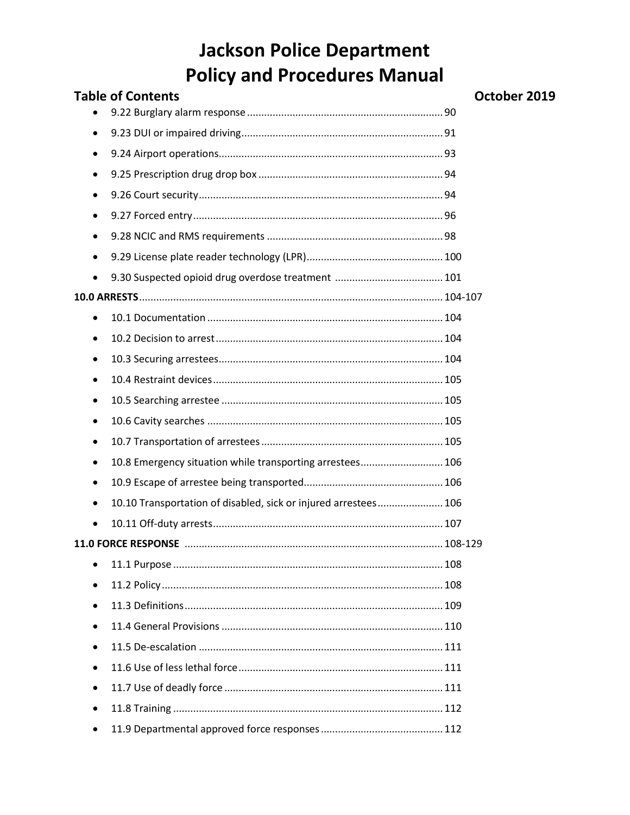| <b>Table of Contents</b>                                                     | October 2019 |
|------------------------------------------------------------------------------|--------------|
|                                                                              |              |
| $\bullet$                                                                    |              |
| $\bullet$                                                                    |              |
| $\bullet$                                                                    |              |
| $\bullet$                                                                    |              |
| $\bullet$                                                                    |              |
| $\bullet$                                                                    |              |
| $\bullet$                                                                    |              |
| $\bullet$                                                                    |              |
|                                                                              |              |
| $\bullet$                                                                    |              |
| $\bullet$                                                                    |              |
| $\bullet$                                                                    |              |
| $\bullet$                                                                    |              |
| $\bullet$                                                                    |              |
| $\bullet$                                                                    |              |
| $\bullet$                                                                    |              |
| 10.8 Emergency situation while transporting arrestees 106<br>$\bullet$       |              |
| $\bullet$                                                                    |              |
| 10.10 Transportation of disabled, sick or injured arrestees 106<br>$\bullet$ |              |
| $\bullet$                                                                    |              |
|                                                                              |              |
|                                                                              |              |
| ٠                                                                            |              |
| $\bullet$                                                                    |              |
| $\bullet$                                                                    |              |
| $\bullet$                                                                    |              |
| $\bullet$                                                                    |              |
| $\bullet$                                                                    |              |
| $\bullet$                                                                    |              |
| $\bullet$                                                                    |              |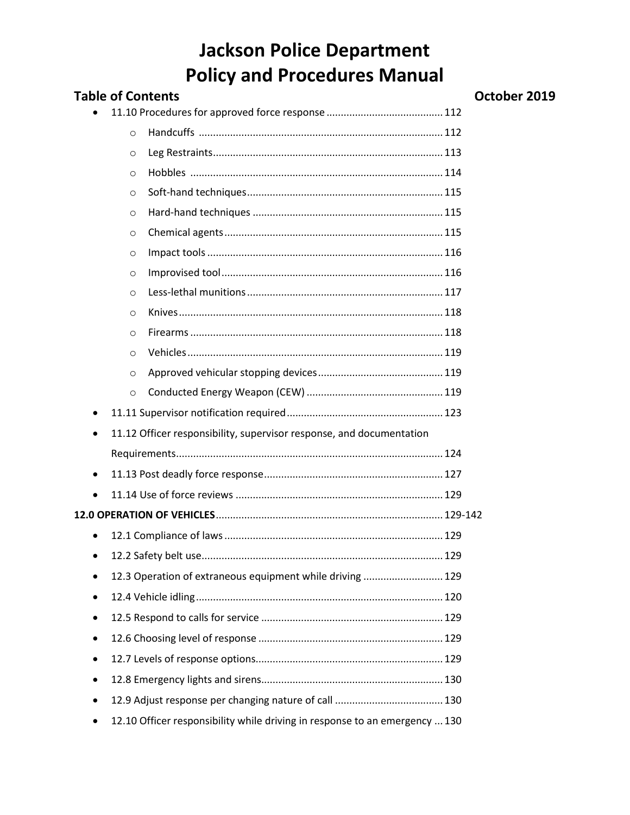| <b>Table of Contents</b>                                                    | October 2019 |
|-----------------------------------------------------------------------------|--------------|
|                                                                             |              |
| $\circ$                                                                     |              |
| O                                                                           |              |
| $\Omega$                                                                    |              |
| $\circ$                                                                     |              |
| $\circ$                                                                     |              |
| $\circ$                                                                     |              |
| $\circ$                                                                     |              |
| $\circ$                                                                     |              |
| $\circ$                                                                     |              |
| O                                                                           |              |
| $\Omega$                                                                    |              |
| $\Omega$                                                                    |              |
| $\circ$                                                                     |              |
| $\circ$                                                                     |              |
| ٠                                                                           |              |
| 11.12 Officer responsibility, supervisor response, and documentation<br>٠   |              |
|                                                                             |              |
| $\bullet$                                                                   |              |
| $\bullet$                                                                   |              |
|                                                                             |              |
| ٠                                                                           |              |
| ٠                                                                           |              |
| 12.3 Operation of extraneous equipment while driving  129                   |              |
| ٠                                                                           |              |
| $\bullet$                                                                   |              |
| $\bullet$                                                                   |              |
| ٠                                                                           |              |
| $\bullet$                                                                   |              |
|                                                                             |              |
| 12.10 Officer responsibility while driving in response to an emergency  130 |              |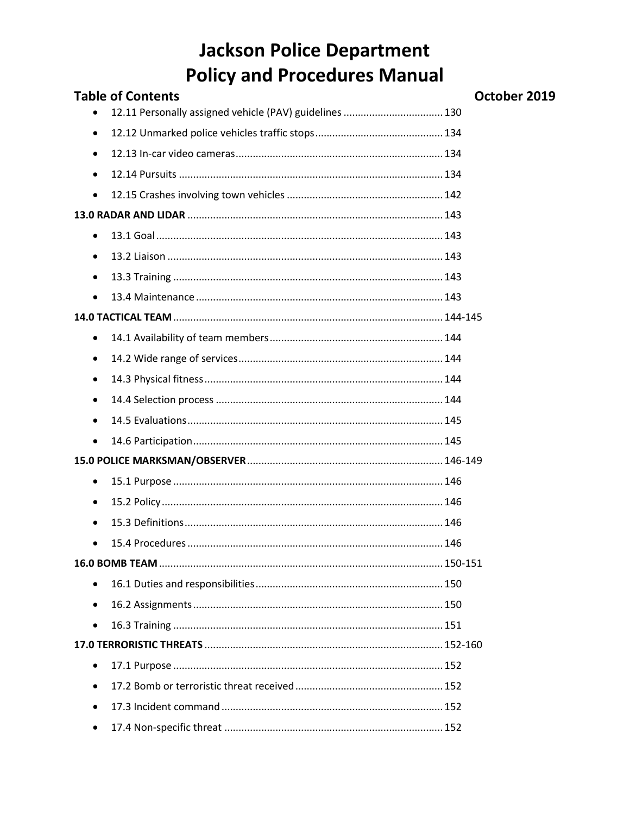| <b>Table of Contents</b>                                | October 2019 |
|---------------------------------------------------------|--------------|
| 12.11 Personally assigned vehicle (PAV) guidelines  130 |              |
| $\bullet$                                               |              |
| $\bullet$                                               |              |
| $\bullet$                                               |              |
| $\bullet$                                               |              |
|                                                         |              |
| $\bullet$                                               |              |
| ٠                                                       |              |
| $\bullet$                                               |              |
| $\bullet$                                               |              |
|                                                         |              |
| $\bullet$                                               |              |
| $\bullet$                                               |              |
| $\bullet$                                               |              |
| $\bullet$                                               |              |
| $\bullet$                                               |              |
| $\bullet$                                               |              |
|                                                         |              |
| $\bullet$                                               |              |
| ٠                                                       |              |
| $\bullet$                                               |              |
|                                                         |              |
|                                                         |              |
| $\bullet$                                               |              |
| $\bullet$                                               |              |
| $\bullet$                                               |              |
|                                                         |              |
| $\bullet$                                               |              |
| $\bullet$                                               |              |
| $\bullet$                                               |              |
| $\bullet$                                               |              |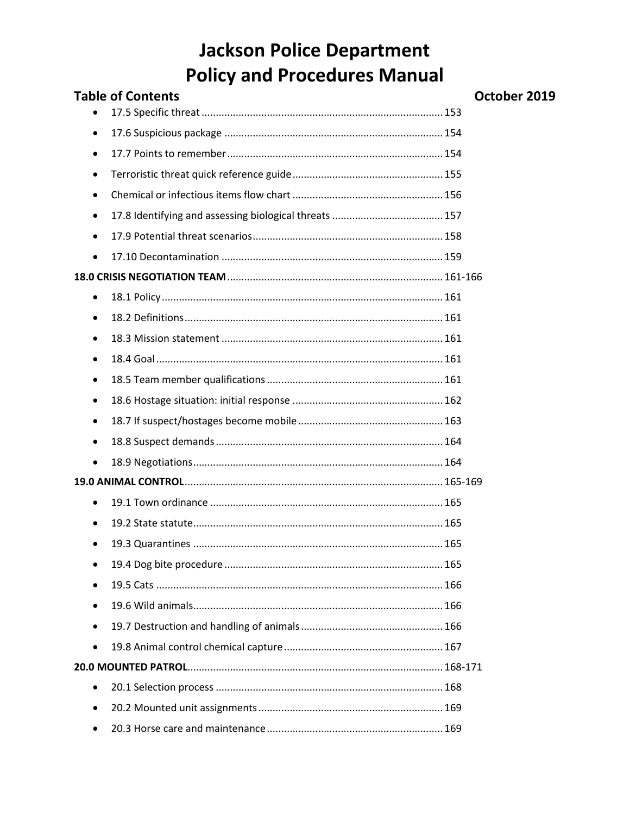| <b>Table of Contents</b> | October 2019 |
|--------------------------|--------------|
|                          |              |
| ٠                        |              |
| $\bullet$                |              |
| ٠                        |              |
| ٠                        |              |
| $\bullet$                |              |
| $\bullet$                |              |
| $\bullet$                |              |
|                          |              |
| $\bullet$                |              |
| ٠                        |              |
| ٠                        |              |
| ٠                        |              |
| ٠                        |              |
| $\bullet$                |              |
| $\bullet$                |              |
| ٠                        |              |
| $\bullet$                |              |
|                          |              |
| $\bullet$                |              |
| $\bullet$                |              |
|                          |              |
|                          |              |
|                          |              |
| $\bullet$                |              |
| $\bullet$                |              |
| $\bullet$                |              |
|                          |              |
| $\bullet$                |              |
| $\bullet$                |              |
|                          |              |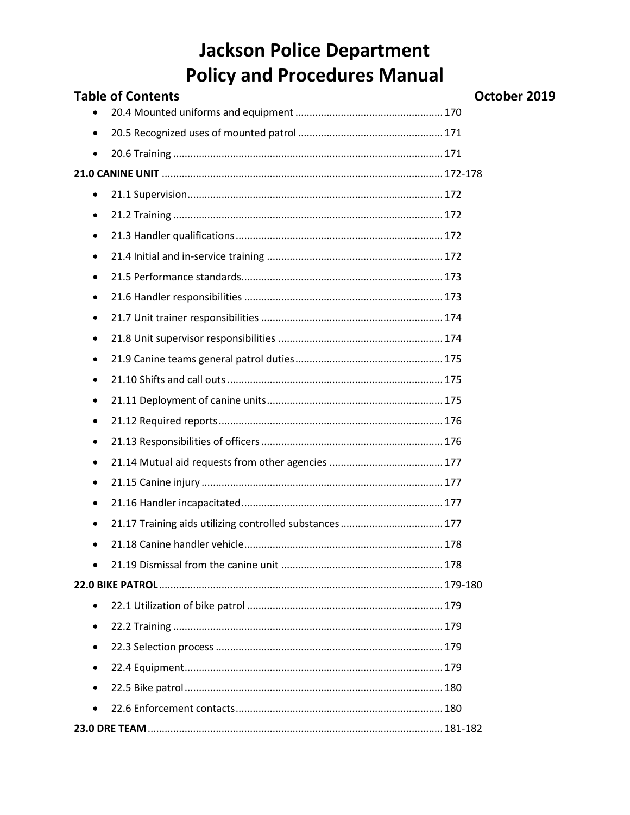| <b>Table of Contents</b>                                              | October 2019 |
|-----------------------------------------------------------------------|--------------|
|                                                                       |              |
| $\bullet$                                                             |              |
| $\bullet$                                                             |              |
|                                                                       |              |
| ٠                                                                     |              |
| ٠                                                                     |              |
| ٠                                                                     |              |
| ٠                                                                     |              |
| $\bullet$                                                             |              |
| ٠                                                                     |              |
| ٠                                                                     |              |
| $\bullet$                                                             |              |
| ٠                                                                     |              |
| ٠                                                                     |              |
| $\bullet$                                                             |              |
| ٠                                                                     |              |
| ٠                                                                     |              |
| $\bullet$                                                             |              |
| ٠                                                                     |              |
| $\bullet$                                                             |              |
| 21.17 Training aids utilizing controlled substances  177<br>$\bullet$ |              |
| $\bullet$                                                             |              |
| $\bullet$                                                             |              |
|                                                                       |              |
| $\bullet$                                                             |              |
| ٠                                                                     |              |
| $\bullet$                                                             |              |
| $\bullet$                                                             |              |
| $\bullet$                                                             |              |
| $\bullet$                                                             |              |
|                                                                       |              |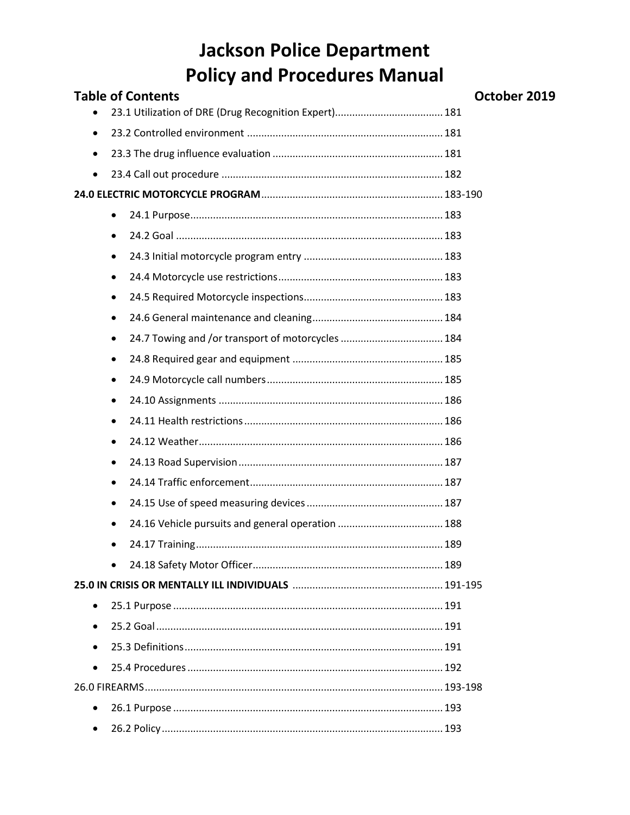|           | <b>Table of Contents</b>                                       | Oc |
|-----------|----------------------------------------------------------------|----|
|           |                                                                |    |
| $\bullet$ |                                                                |    |
| $\bullet$ |                                                                |    |
| $\bullet$ |                                                                |    |
|           |                                                                |    |
|           | $\bullet$                                                      |    |
|           | $\bullet$                                                      |    |
|           | $\bullet$                                                      |    |
|           | $\bullet$                                                      |    |
|           | ٠                                                              |    |
|           | ٠                                                              |    |
|           | 24.7 Towing and /or transport of motorcycles  184<br>$\bullet$ |    |
|           | ٠                                                              |    |
|           | ٠                                                              |    |
|           | ٠                                                              |    |
|           | ٠                                                              |    |
|           | $\bullet$                                                      |    |
|           | ٠                                                              |    |
|           | ٠                                                              |    |
|           | ٠                                                              |    |
|           | $\bullet$                                                      |    |
|           |                                                                |    |
|           |                                                                |    |
|           |                                                                |    |
| ٠         |                                                                |    |
| $\bullet$ |                                                                |    |
|           |                                                                |    |
|           |                                                                |    |
|           |                                                                |    |
| $\bullet$ |                                                                |    |
| $\bullet$ |                                                                |    |

#### ctober 2019